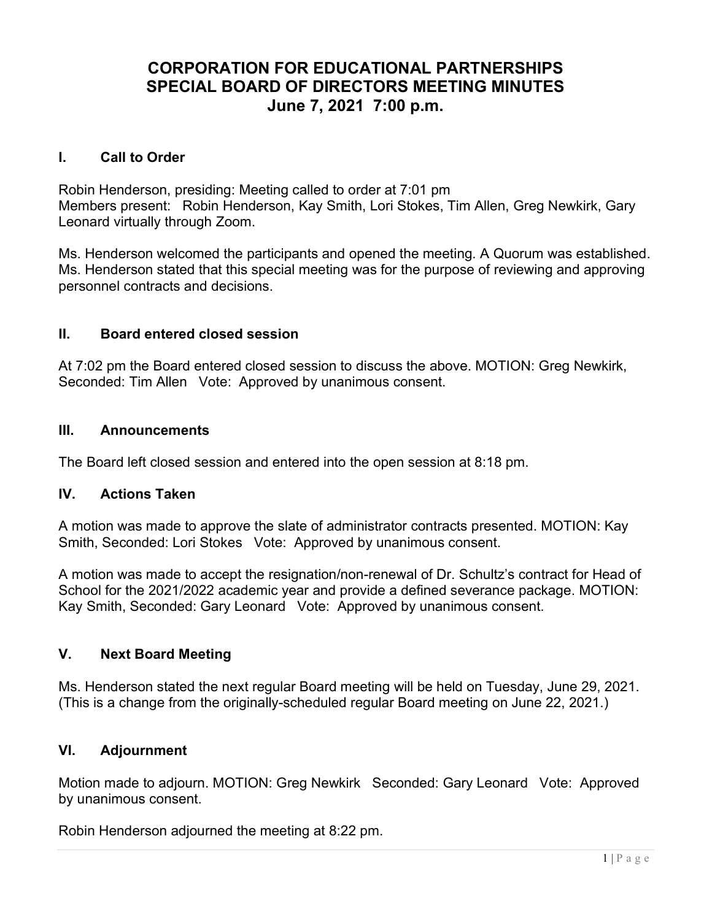# CORPORATION FOR EDUCATIONAL PARTNERSHIPS SPECIAL BOARD OF DIRECTORS MEETING MINUTES June 7, 2021 7:00 p.m.

## I. Call to Order

Robin Henderson, presiding: Meeting called to order at 7:01 pm Members present: Robin Henderson, Kay Smith, Lori Stokes, Tim Allen, Greg Newkirk, Gary Leonard virtually through Zoom.

Ms. Henderson welcomed the participants and opened the meeting. A Quorum was established. Ms. Henderson stated that this special meeting was for the purpose of reviewing and approving personnel contracts and decisions.

#### II. Board entered closed session

At 7:02 pm the Board entered closed session to discuss the above. MOTION: Greg Newkirk, Seconded: Tim Allen Vote: Approved by unanimous consent.

## III. Announcements

The Board left closed session and entered into the open session at 8:18 pm.

#### IV. Actions Taken

A motion was made to approve the slate of administrator contracts presented. MOTION: Kay Smith, Seconded: Lori Stokes Vote: Approved by unanimous consent.

A motion was made to accept the resignation/non-renewal of Dr. Schultz's contract for Head of School for the 2021/2022 academic year and provide a defined severance package. MOTION: Kay Smith, Seconded: Gary Leonard Vote: Approved by unanimous consent.

## V. Next Board Meeting

Ms. Henderson stated the next regular Board meeting will be held on Tuesday, June 29, 2021. (This is a change from the originally-scheduled regular Board meeting on June 22, 2021.)

## VI. Adjournment

Motion made to adjourn. MOTION: Greg Newkirk Seconded: Gary Leonard Vote: Approved by unanimous consent.

Robin Henderson adjourned the meeting at 8:22 pm.